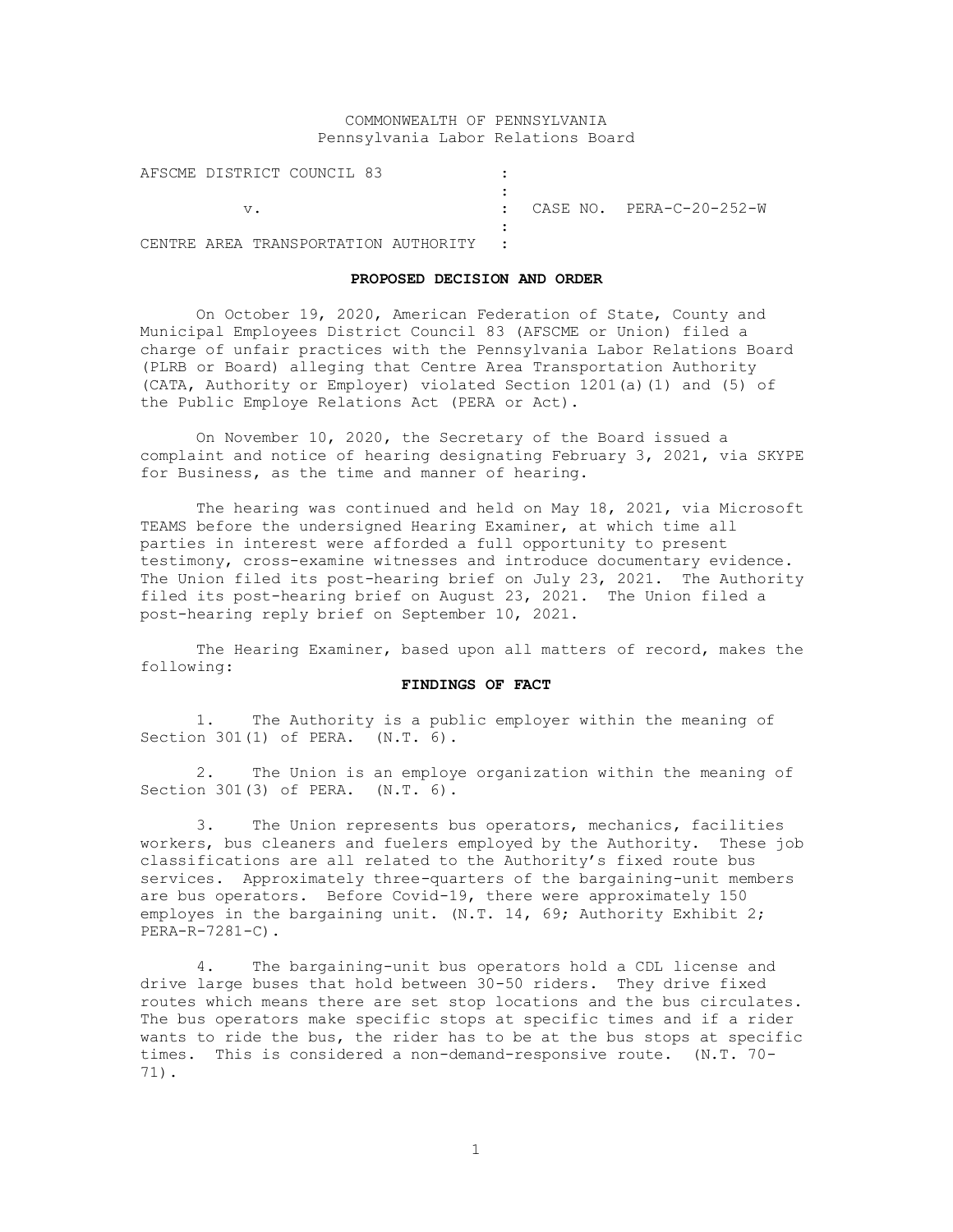# COMMONWEALTH OF PENNSYLVANIA Pennsylvania Labor Relations Board

| AFSCME DISTRICT COUNCIL 83             |  |                            |
|----------------------------------------|--|----------------------------|
| V.                                     |  | : CASE NO. PERA-C-20-252-W |
| CENTRE AREA TRANSPORTATION AUTHORITY : |  |                            |

#### **PROPOSED DECISION AND ORDER**

On October 19, 2020, American Federation of State, County and Municipal Employees District Council 83 (AFSCME or Union) filed a charge of unfair practices with the Pennsylvania Labor Relations Board (PLRB or Board) alleging that Centre Area Transportation Authority (CATA, Authority or Employer) violated Section 1201(a)(1) and (5) of the Public Employe Relations Act (PERA or Act).

On November 10, 2020, the Secretary of the Board issued a complaint and notice of hearing designating February 3, 2021, via SKYPE for Business, as the time and manner of hearing.

The hearing was continued and held on May 18, 2021, via Microsoft TEAMS before the undersigned Hearing Examiner, at which time all parties in interest were afforded a full opportunity to present testimony, cross-examine witnesses and introduce documentary evidence. The Union filed its post-hearing brief on July 23, 2021. The Authority filed its post-hearing brief on August 23, 2021. The Union filed a post-hearing reply brief on September 10, 2021.

The Hearing Examiner, based upon all matters of record, makes the following:

## **FINDINGS OF FACT**

1. The Authority is a public employer within the meaning of Section 301(1) of PERA. (N.T. 6).

2. The Union is an employe organization within the meaning of Section 301(3) of PERA. (N.T. 6).

3. The Union represents bus operators, mechanics, facilities workers, bus cleaners and fuelers employed by the Authority. These job classifications are all related to the Authority's fixed route bus services. Approximately three-quarters of the bargaining-unit members are bus operators. Before Covid-19, there were approximately 150 employes in the bargaining unit. (N.T. 14, 69; Authority Exhibit 2; PERA-R-7281-C).

4. The bargaining-unit bus operators hold a CDL license and drive large buses that hold between 30-50 riders. They drive fixed routes which means there are set stop locations and the bus circulates. The bus operators make specific stops at specific times and if a rider wants to ride the bus, the rider has to be at the bus stops at specific times. This is considered a non-demand-responsive route. (N.T. 70- 71).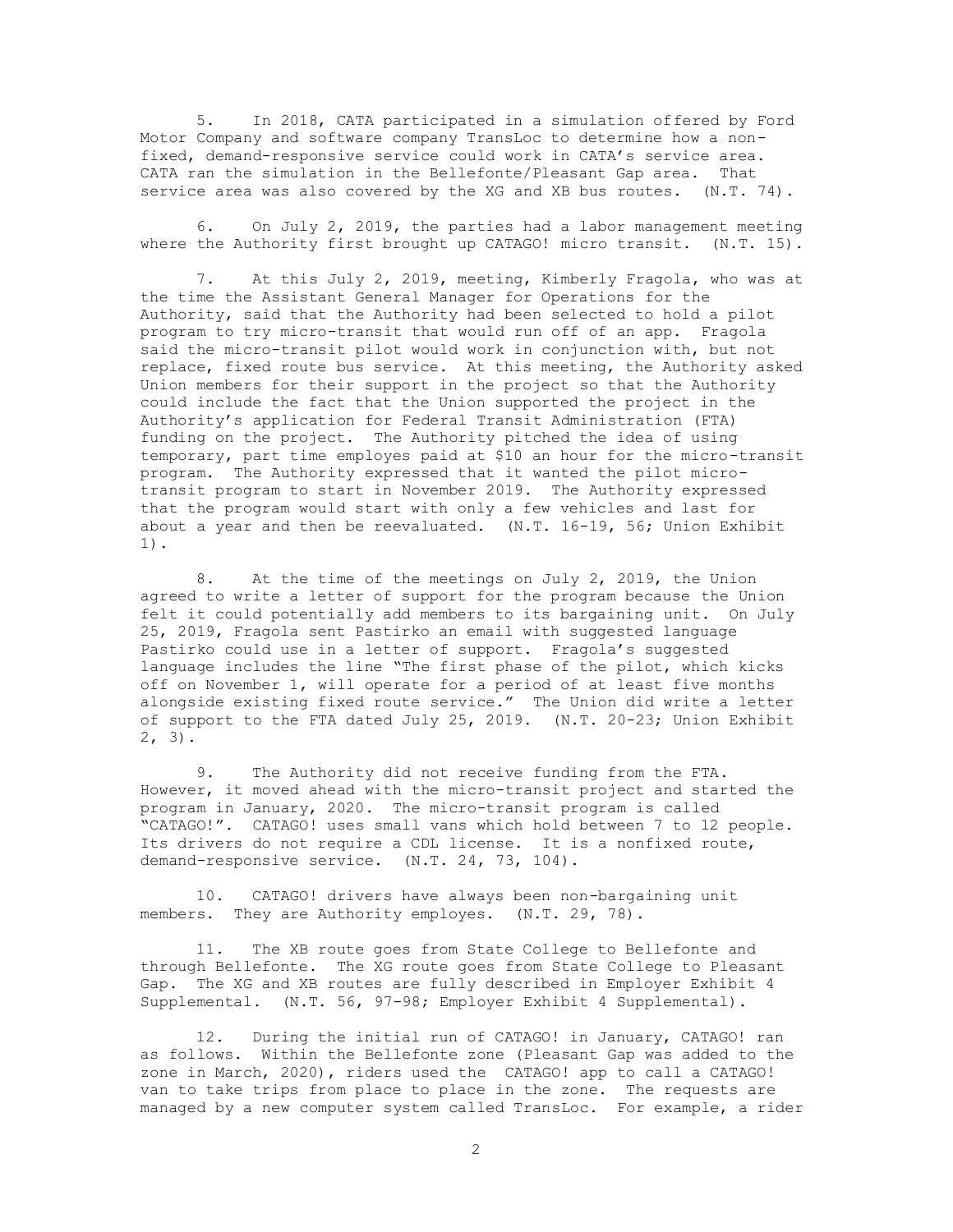5. In 2018, CATA participated in a simulation offered by Ford Motor Company and software company TransLoc to determine how a nonfixed, demand-responsive service could work in CATA's service area. CATA ran the simulation in the Bellefonte/Pleasant Gap area. That service area was also covered by the XG and XB bus routes. (N.T. 74).

6. On July 2, 2019, the parties had a labor management meeting where the Authority first brought up CATAGO! micro transit. (N.T. 15).

7. At this July 2, 2019, meeting, Kimberly Fragola, who was at the time the Assistant General Manager for Operations for the Authority, said that the Authority had been selected to hold a pilot program to try micro-transit that would run off of an app. Fragola said the micro-transit pilot would work in conjunction with, but not replace, fixed route bus service. At this meeting, the Authority asked Union members for their support in the project so that the Authority could include the fact that the Union supported the project in the Authority's application for Federal Transit Administration (FTA) funding on the project. The Authority pitched the idea of using temporary, part time employes paid at \$10 an hour for the micro-transit program. The Authority expressed that it wanted the pilot microtransit program to start in November 2019. The Authority expressed that the program would start with only a few vehicles and last for about a year and then be reevaluated. (N.T. 16-19, 56; Union Exhibit 1).

8. At the time of the meetings on July 2, 2019, the Union agreed to write a letter of support for the program because the Union felt it could potentially add members to its bargaining unit. On July 25, 2019, Fragola sent Pastirko an email with suggested language Pastirko could use in a letter of support. Fragola's suggested language includes the line "The first phase of the pilot, which kicks off on November 1, will operate for a period of at least five months alongside existing fixed route service." The Union did write a letter of support to the FTA dated July 25, 2019. (N.T. 20-23; Union Exhibit 2, 3).

9. The Authority did not receive funding from the FTA. However, it moved ahead with the micro-transit project and started the program in January, 2020. The micro-transit program is called "CATAGO!". CATAGO! uses small vans which hold between 7 to 12 people. Its drivers do not require a CDL license. It is a nonfixed route, demand-responsive service. (N.T. 24, 73, 104).

10. CATAGO! drivers have always been non-bargaining unit members. They are Authority employes. (N.T. 29, 78).

11. The XB route goes from State College to Bellefonte and through Bellefonte. The XG route goes from State College to Pleasant Gap. The XG and XB routes are fully described in Employer Exhibit 4 Supplemental. (N.T. 56, 97-98; Employer Exhibit 4 Supplemental).

12. During the initial run of CATAGO! in January, CATAGO! ran as follows. Within the Bellefonte zone (Pleasant Gap was added to the zone in March, 2020), riders used the CATAGO! app to call a CATAGO! van to take trips from place to place in the zone. The requests are managed by a new computer system called TransLoc. For example, a rider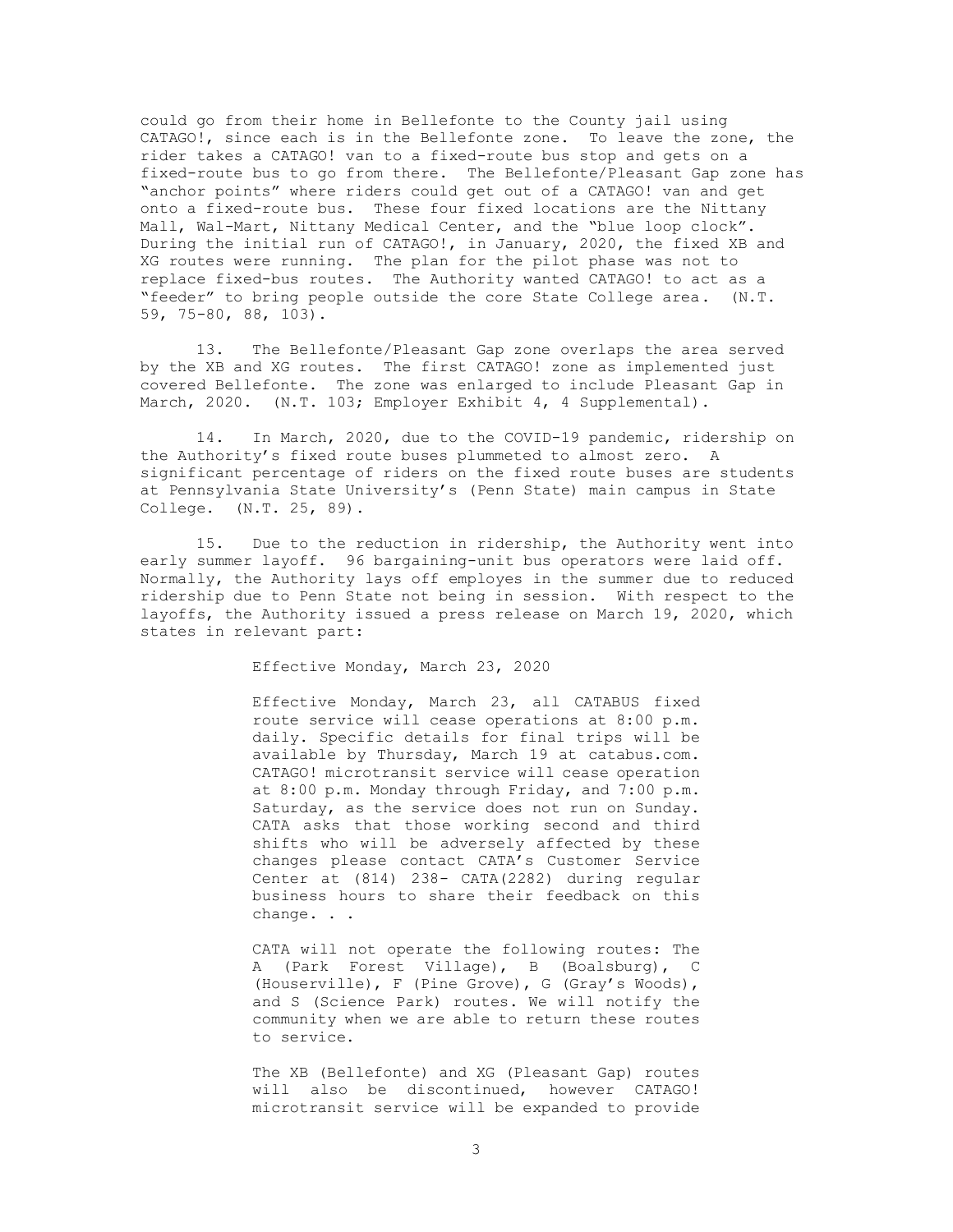could go from their home in Bellefonte to the County jail using CATAGO!, since each is in the Bellefonte zone. To leave the zone, the rider takes a CATAGO! van to a fixed-route bus stop and gets on a fixed-route bus to go from there. The Bellefonte/Pleasant Gap zone has "anchor points" where riders could get out of a CATAGO! van and get onto a fixed-route bus. These four fixed locations are the Nittany Mall, Wal-Mart, Nittany Medical Center, and the "blue loop clock". During the initial run of CATAGO!, in January, 2020, the fixed XB and XG routes were running. The plan for the pilot phase was not to replace fixed-bus routes. The Authority wanted CATAGO! to act as a "feeder" to bring people outside the core State College area. (N.T. 59, 75-80, 88, 103).

13. The Bellefonte/Pleasant Gap zone overlaps the area served by the XB and XG routes. The first CATAGO! zone as implemented just covered Bellefonte. The zone was enlarged to include Pleasant Gap in March, 2020. (N.T. 103; Employer Exhibit 4, 4 Supplemental).

14. In March, 2020, due to the COVID-19 pandemic, ridership on the Authority's fixed route buses plummeted to almost zero. A significant percentage of riders on the fixed route buses are students at Pennsylvania State University's (Penn State) main campus in State College. (N.T. 25, 89).

15. Due to the reduction in ridership, the Authority went into early summer layoff. 96 bargaining-unit bus operators were laid off. Normally, the Authority lays off employes in the summer due to reduced ridership due to Penn State not being in session. With respect to the layoffs, the Authority issued a press release on March 19, 2020, which states in relevant part:

Effective Monday, March 23, 2020

Effective Monday, March 23, all CATABUS fixed route service will cease operations at 8:00 p.m. daily. Specific details for final trips will be available by Thursday, March 19 at catabus.com. CATAGO! microtransit service will cease operation at 8:00 p.m. Monday through Friday, and 7:00 p.m. Saturday, as the service does not run on Sunday. CATA asks that those working second and third shifts who will be adversely affected by these changes please contact CATA's Customer Service Center at (814) 238- CATA(2282) during regular business hours to share their feedback on this change. . .

CATA will not operate the following routes: The A (Park Forest Village), B (Boalsburg), C (Houserville), F (Pine Grove), G (Gray's Woods), and S (Science Park) routes. We will notify the community when we are able to return these routes to service.

The XB (Bellefonte) and XG (Pleasant Gap) routes will also be discontinued, however CATAGO! microtransit service will be expanded to provide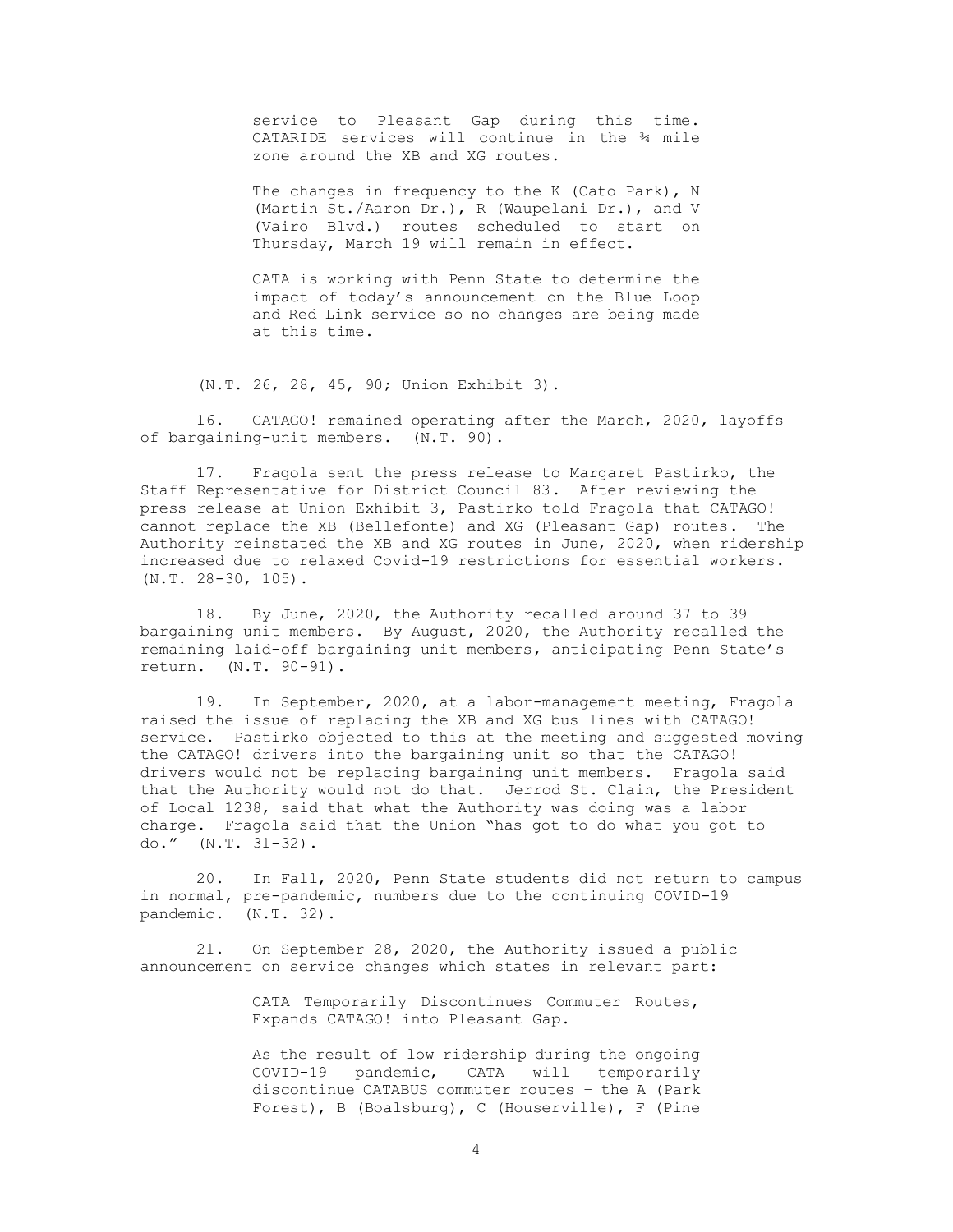service to Pleasant Gap during this time. CATARIDE services will continue in the ¾ mile zone around the XB and XG routes.

The changes in frequency to the K (Cato Park), N (Martin St./Aaron Dr.), R (Waupelani Dr.), and V (Vairo Blvd.) routes scheduled to start on Thursday, March 19 will remain in effect.

CATA is working with Penn State to determine the impact of today's announcement on the Blue Loop and Red Link service so no changes are being made at this time.

(N.T. 26, 28, 45, 90; Union Exhibit 3).

16. CATAGO! remained operating after the March, 2020, layoffs of bargaining-unit members. (N.T. 90).

17. Fragola sent the press release to Margaret Pastirko, the Staff Representative for District Council 83. After reviewing the press release at Union Exhibit 3, Pastirko told Fragola that CATAGO! cannot replace the XB (Bellefonte) and XG (Pleasant Gap) routes. The Authority reinstated the XB and XG routes in June, 2020, when ridership increased due to relaxed Covid-19 restrictions for essential workers. (N.T. 28-30, 105).

18. By June, 2020, the Authority recalled around 37 to 39 bargaining unit members. By August, 2020, the Authority recalled the remaining laid-off bargaining unit members, anticipating Penn State's return. (N.T. 90-91).

19. In September, 2020, at a labor-management meeting, Fragola raised the issue of replacing the XB and XG bus lines with CATAGO! service. Pastirko objected to this at the meeting and suggested moving the CATAGO! drivers into the bargaining unit so that the CATAGO! drivers would not be replacing bargaining unit members. Fragola said that the Authority would not do that. Jerrod St. Clain, the President of Local 1238, said that what the Authority was doing was a labor charge. Fragola said that the Union "has got to do what you got to do." (N.T. 31-32).

20. In Fall, 2020, Penn State students did not return to campus in normal, pre-pandemic, numbers due to the continuing COVID-19 pandemic. (N.T. 32).

21. On September 28, 2020, the Authority issued a public announcement on service changes which states in relevant part:

> CATA Temporarily Discontinues Commuter Routes, Expands CATAGO! into Pleasant Gap.

As the result of low ridership during the ongoing COVID-19 pandemic, CATA will temporarily discontinue CATABUS commuter routes – the A (Park Forest), B (Boalsburg), C (Houserville), F (Pine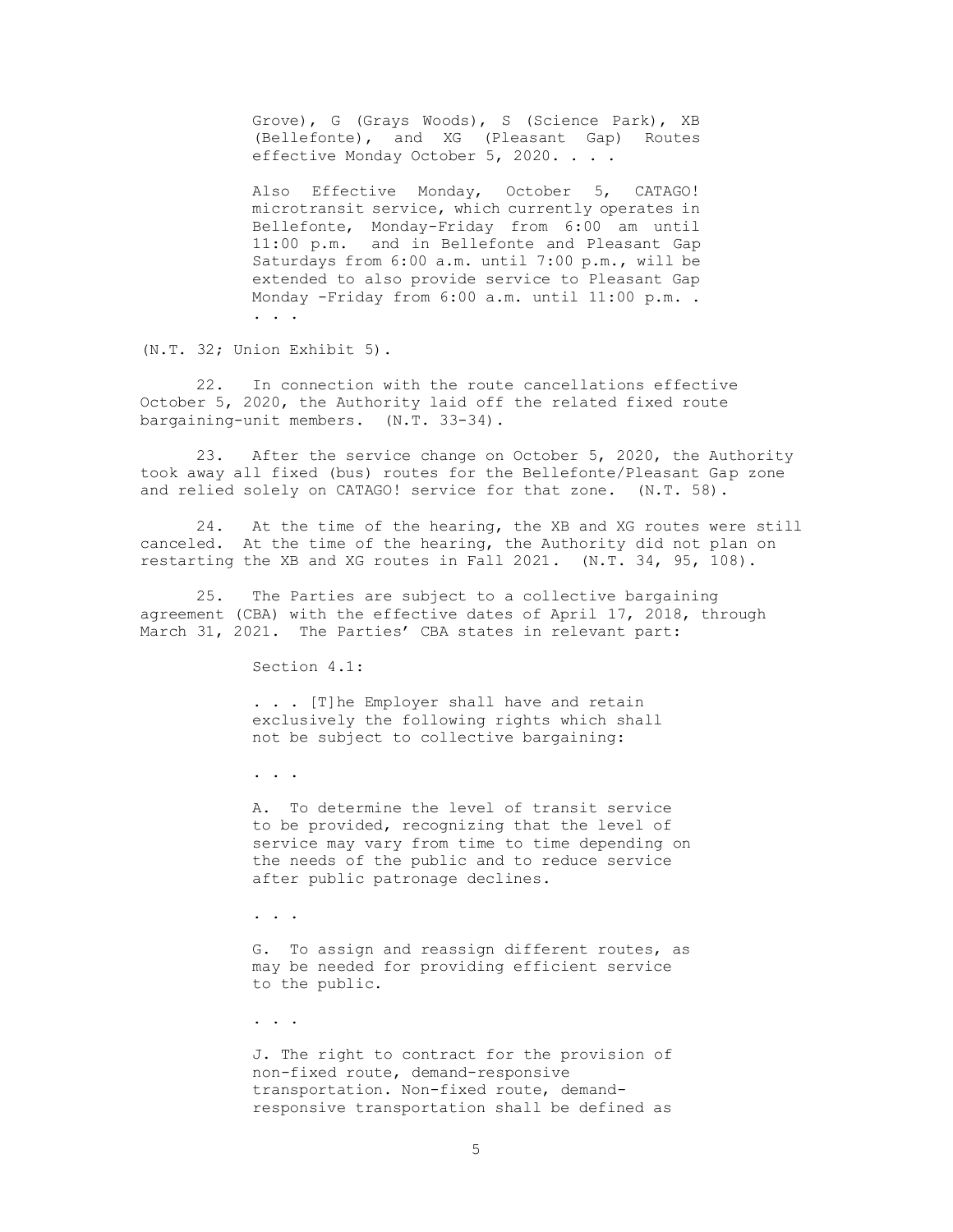Grove), G (Grays Woods), S (Science Park), XB (Bellefonte), and XG (Pleasant Gap) Routes effective Monday October 5, 2020. . . .

Also Effective Monday, October 5, CATAGO! microtransit service, which currently operates in Bellefonte, Monday-Friday from 6:00 am until 11:00 p.m. and in Bellefonte and Pleasant Gap Saturdays from 6:00 a.m. until 7:00 p.m., will be extended to also provide service to Pleasant Gap Monday -Friday from 6:00 a.m. until 11:00 p.m. . . . .

(N.T. 32; Union Exhibit 5).

22. In connection with the route cancellations effective October 5, 2020, the Authority laid off the related fixed route bargaining-unit members. (N.T. 33-34).

23. After the service change on October 5, 2020, the Authority took away all fixed (bus) routes for the Bellefonte/Pleasant Gap zone and relied solely on CATAGO! service for that zone. (N.T. 58).

24. At the time of the hearing, the XB and XG routes were still canceled. At the time of the hearing, the Authority did not plan on restarting the XB and XG routes in Fall 2021. (N.T. 34, 95, 108).

25. The Parties are subject to a collective bargaining agreement (CBA) with the effective dates of April 17, 2018, through March 31, 2021. The Parties' CBA states in relevant part:

Section 4.1:

. . . [T]he Employer shall have and retain exclusively the following rights which shall not be subject to collective bargaining:

. . .

A. To determine the level of transit service to be provided, recognizing that the level of service may vary from time to time depending on the needs of the public and to reduce service after public patronage declines.

. . .

G. To assign and reassign different routes, as may be needed for providing efficient service to the public.

. . .

J. The right to contract for the provision of non-fixed route, demand-responsive transportation. Non-fixed route, demandresponsive transportation shall be defined as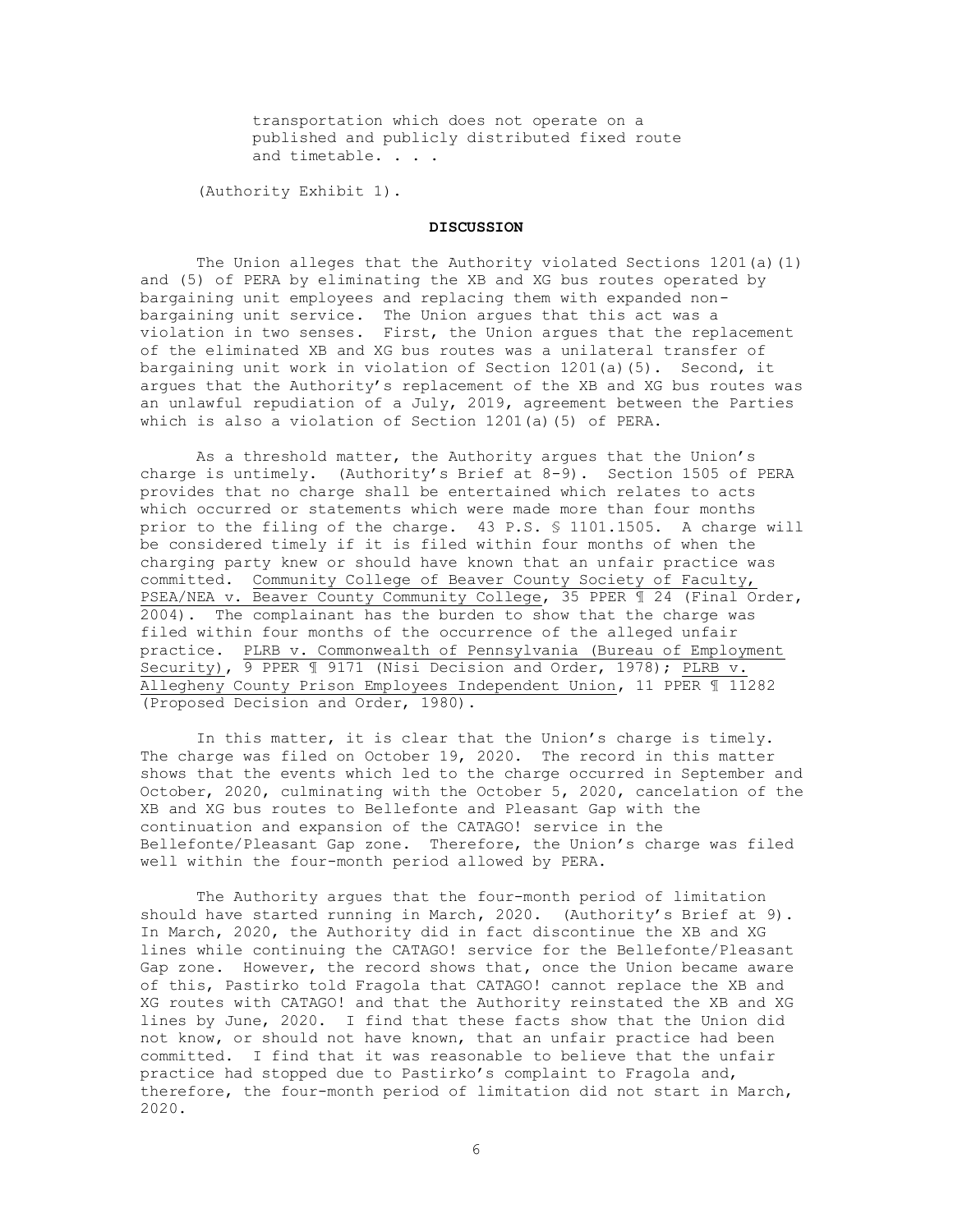transportation which does not operate on a published and publicly distributed fixed route and timetable. . . .

(Authority Exhibit 1).

### **DISCUSSION**

The Union alleges that the Authority violated Sections 1201(a)(1) and (5) of PERA by eliminating the XB and XG bus routes operated by bargaining unit employees and replacing them with expanded nonbargaining unit service. The Union argues that this act was a violation in two senses. First, the Union argues that the replacement of the eliminated XB and XG bus routes was a unilateral transfer of bargaining unit work in violation of Section 1201(a)(5). Second, it argues that the Authority's replacement of the XB and XG bus routes was an unlawful repudiation of a July, 2019, agreement between the Parties which is also a violation of Section 1201(a)(5) of PERA.

As a threshold matter, the Authority argues that the Union's charge is untimely. (Authority's Brief at 8-9). Section 1505 of PERA provides that no charge shall be entertained which relates to acts which occurred or statements which were made more than four months prior to the filing of the charge. 43 P.S. § 1101.1505. A charge will be considered timely if it is filed within four months of when the charging party knew or should have known that an unfair practice was committed. Community College of Beaver County Society of Faculty, PSEA/NEA v. Beaver County Community College, 35 PPER ¶ 24 (Final Order, 2004). The complainant has the burden to show that the charge was filed within four months of the occurrence of the alleged unfair practice. PLRB v. Commonwealth of Pennsylvania (Bureau of Employment Security), 9 PPER 1 9171 (Nisi Decision and Order, 1978); PLRB v. Allegheny County Prison Employees Independent Union, 11 PPER ¶ 11282 (Proposed Decision and Order, 1980).

In this matter, it is clear that the Union's charge is timely. The charge was filed on October 19, 2020. The record in this matter shows that the events which led to the charge occurred in September and October, 2020, culminating with the October 5, 2020, cancelation of the XB and XG bus routes to Bellefonte and Pleasant Gap with the continuation and expansion of the CATAGO! service in the Bellefonte/Pleasant Gap zone. Therefore, the Union's charge was filed well within the four-month period allowed by PERA.

The Authority argues that the four-month period of limitation should have started running in March, 2020. (Authority's Brief at 9). In March, 2020, the Authority did in fact discontinue the XB and XG lines while continuing the CATAGO! service for the Bellefonte/Pleasant Gap zone. However, the record shows that, once the Union became aware of this, Pastirko told Fragola that CATAGO! cannot replace the XB and XG routes with CATAGO! and that the Authority reinstated the XB and XG lines by June, 2020. I find that these facts show that the Union did not know, or should not have known, that an unfair practice had been committed. I find that it was reasonable to believe that the unfair practice had stopped due to Pastirko's complaint to Fragola and, therefore, the four-month period of limitation did not start in March, 2020.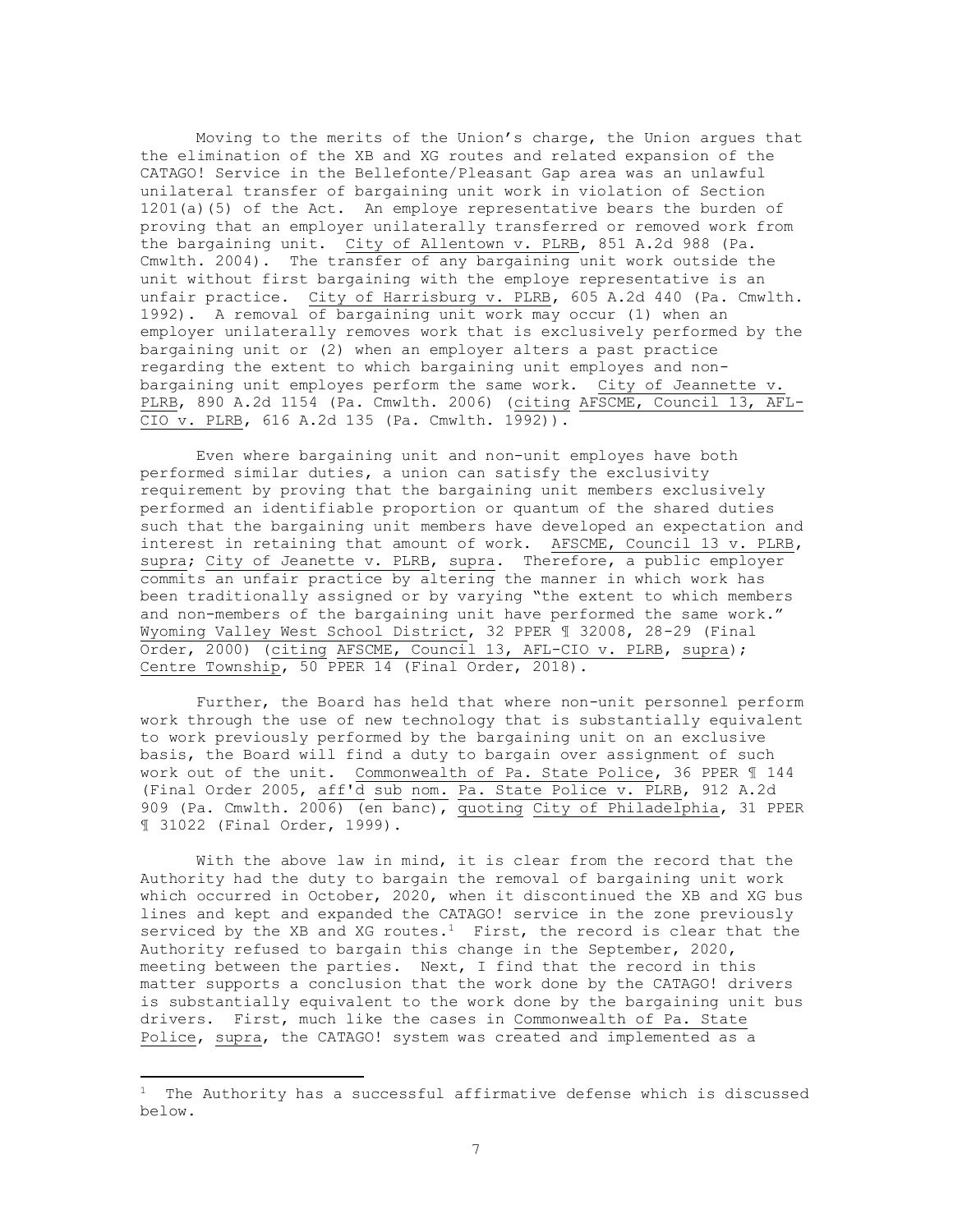Moving to the merits of the Union's charge, the Union argues that the elimination of the XB and XG routes and related expansion of the CATAGO! Service in the Bellefonte/Pleasant Gap area was an unlawful unilateral transfer of bargaining unit work in violation of Section 1201(a)(5) of the Act. An employe representative bears the burden of proving that an employer unilaterally transferred or removed work from the bargaining unit. City of Allentown v. PLRB, 851 A.2d 988 (Pa. Cmwlth. 2004). The transfer of any bargaining unit work outside the unit without first bargaining with the employe representative is an unfair practice. City of Harrisburg v. PLRB, 605 A.2d 440 (Pa. Cmwlth. 1992). A removal of bargaining unit work may occur (1) when an employer unilaterally removes work that is exclusively performed by the bargaining unit or (2) when an employer alters a past practice regarding the extent to which bargaining unit employes and nonbargaining unit employes perform the same work. City of Jeannette v. PLRB, 890 A.2d 1154 (Pa. Cmwlth. 2006) (citing AFSCME, Council 13, AFL-CIO v. PLRB, 616 A.2d 135 (Pa. Cmwlth. 1992)).

Even where bargaining unit and non-unit employes have both performed similar duties, a union can satisfy the exclusivity requirement by proving that the bargaining unit members exclusively performed an identifiable proportion or quantum of the shared duties such that the bargaining unit members have developed an expectation and interest in retaining that amount of work. AFSCME, Council 13 v. PLRB, supra; City of Jeanette v. PLRB, supra. Therefore, a public employer commits an unfair practice by altering the manner in which work has been traditionally assigned or by varying "the extent to which members and non-members of the bargaining unit have performed the same work." Wyoming Valley West School District, 32 PPER ¶ 32008, 28-29 (Final Order, 2000) (citing AFSCME, Council 13, AFL-CIO v. PLRB, supra); Centre Township, 50 PPER 14 (Final Order, 2018).

Further, the Board has held that where non-unit personnel perform work through the use of new technology that is substantially equivalent to work previously performed by the bargaining unit on an exclusive basis, the Board will find a duty to bargain over assignment of such work out of the unit. Commonwealth of Pa. State Police, 36 PPER ¶ 144 (Final Order 2005, aff'd sub nom. Pa. State Police v. PLRB, 912 A.2d 909 (Pa. Cmwlth. 2006) (en banc), quoting City of Philadelphia, 31 PPER ¶ 31022 (Final Order, 1999).

With the above law in mind, it is clear from the record that the Authority had the duty to bargain the removal of bargaining unit work which occurred in October, 2020, when it discontinued the XB and XG bus lines and kept and expanded the CATAGO! service in the zone previously serviced by the XB and XG routes. $<sup>1</sup>$  First, the record is clear that the</sup> Authority refused to bargain this change in the September, 2020, meeting between the parties. Next, I find that the record in this matter supports a conclusion that the work done by the CATAGO! drivers is substantially equivalent to the work done by the bargaining unit bus drivers. First, much like the cases in Commonwealth of Pa. State Police, supra, the CATAGO! system was created and implemented as a

The Authority has a successful affirmative defense which is discussed below.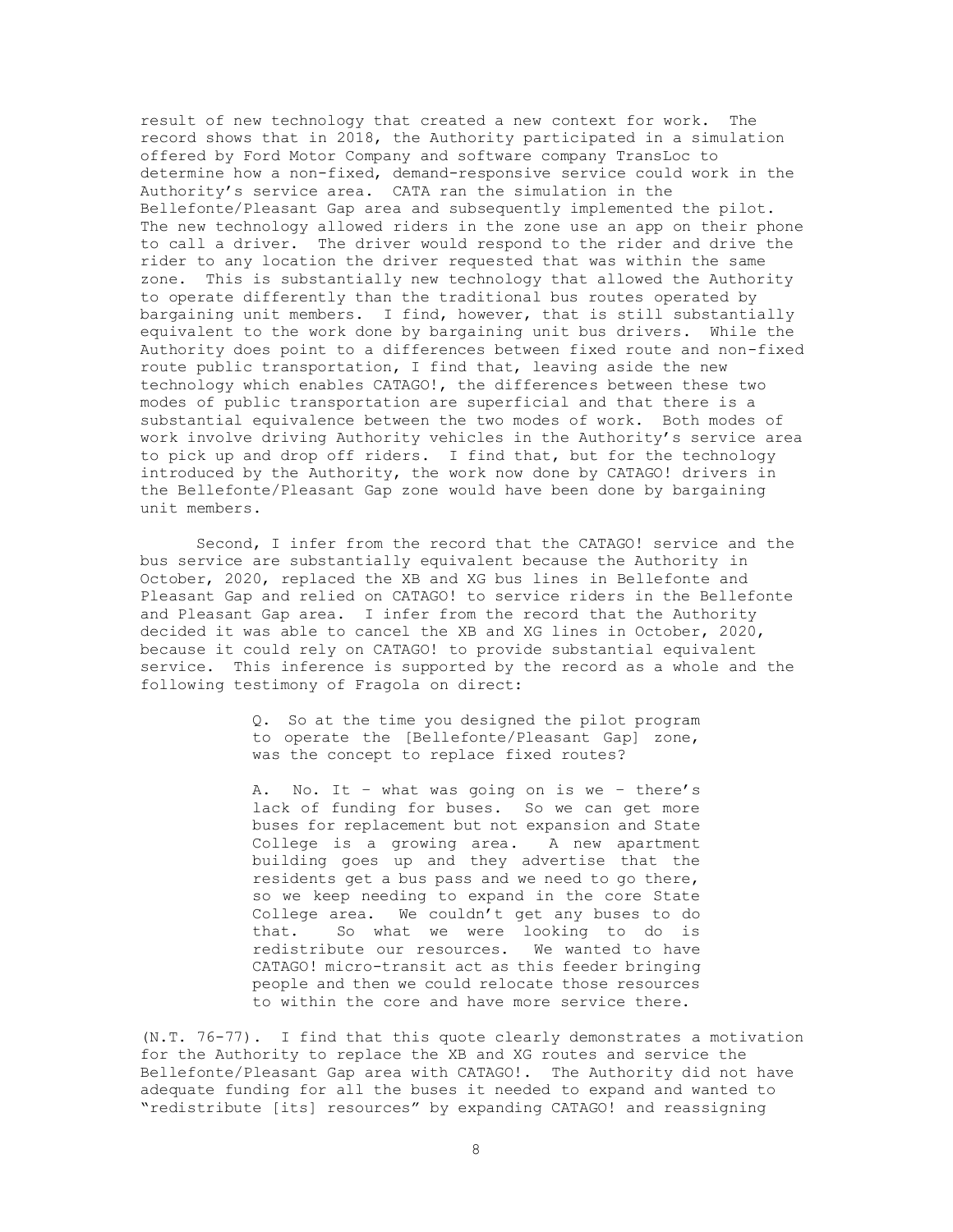result of new technology that created a new context for work. The record shows that in 2018, the Authority participated in a simulation offered by Ford Motor Company and software company TransLoc to determine how a non-fixed, demand-responsive service could work in the Authority's service area. CATA ran the simulation in the Bellefonte/Pleasant Gap area and subsequently implemented the pilot. The new technology allowed riders in the zone use an app on their phone to call a driver. The driver would respond to the rider and drive the rider to any location the driver requested that was within the same zone. This is substantially new technology that allowed the Authority to operate differently than the traditional bus routes operated by bargaining unit members. I find, however, that is still substantially equivalent to the work done by bargaining unit bus drivers. While the Authority does point to a differences between fixed route and non-fixed route public transportation, I find that, leaving aside the new technology which enables CATAGO!, the differences between these two modes of public transportation are superficial and that there is a substantial equivalence between the two modes of work. Both modes of work involve driving Authority vehicles in the Authority's service area to pick up and drop off riders. I find that, but for the technology introduced by the Authority, the work now done by CATAGO! drivers in the Bellefonte/Pleasant Gap zone would have been done by bargaining unit members.

Second, I infer from the record that the CATAGO! service and the bus service are substantially equivalent because the Authority in October, 2020, replaced the XB and XG bus lines in Bellefonte and Pleasant Gap and relied on CATAGO! to service riders in the Bellefonte and Pleasant Gap area. I infer from the record that the Authority decided it was able to cancel the XB and XG lines in October, 2020, because it could rely on CATAGO! to provide substantial equivalent service. This inference is supported by the record as a whole and the following testimony of Fragola on direct:

> Q. So at the time you designed the pilot program to operate the [Bellefonte/Pleasant Gap] zone, was the concept to replace fixed routes?

> A. No. It – what was going on is we – there's lack of funding for buses. So we can get more buses for replacement but not expansion and State College is a growing area. A new apartment building goes up and they advertise that the residents get a bus pass and we need to go there, so we keep needing to expand in the core State College area. We couldn't get any buses to do that. So what we were looking to do is redistribute our resources. We wanted to have CATAGO! micro-transit act as this feeder bringing people and then we could relocate those resources to within the core and have more service there.

(N.T. 76-77). I find that this quote clearly demonstrates a motivation for the Authority to replace the XB and XG routes and service the Bellefonte/Pleasant Gap area with CATAGO!. The Authority did not have adequate funding for all the buses it needed to expand and wanted to "redistribute [its] resources" by expanding CATAGO! and reassigning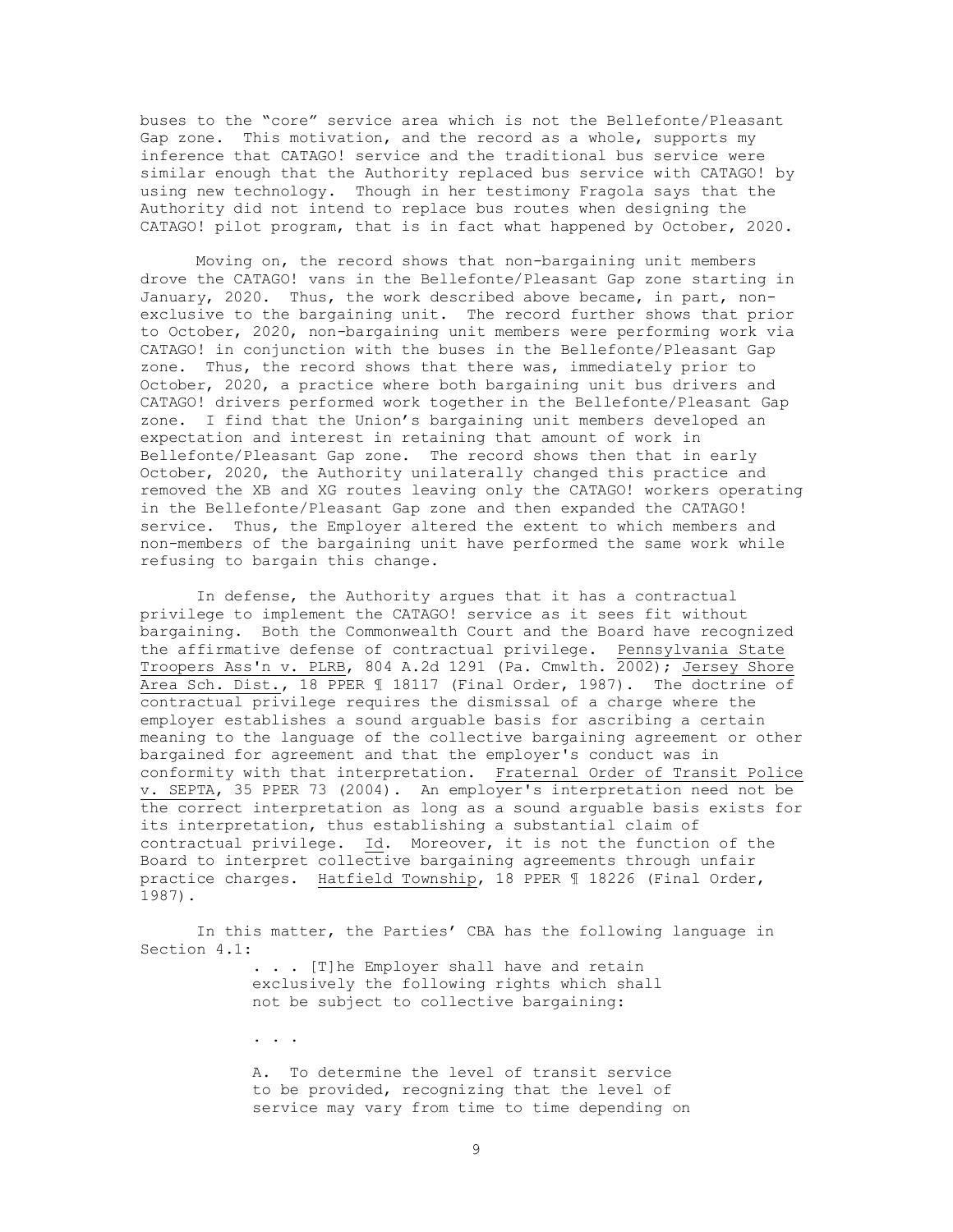buses to the "core" service area which is not the Bellefonte/Pleasant Gap zone. This motivation, and the record as a whole, supports my inference that CATAGO! service and the traditional bus service were similar enough that the Authority replaced bus service with CATAGO! by using new technology. Though in her testimony Fragola says that the Authority did not intend to replace bus routes when designing the CATAGO! pilot program, that is in fact what happened by October, 2020.

Moving on, the record shows that non-bargaining unit members drove the CATAGO! vans in the Bellefonte/Pleasant Gap zone starting in January, 2020. Thus, the work described above became, in part, nonexclusive to the bargaining unit. The record further shows that prior to October, 2020, non-bargaining unit members were performing work via CATAGO! in conjunction with the buses in the Bellefonte/Pleasant Gap zone. Thus, the record shows that there was, immediately prior to October, 2020, a practice where both bargaining unit bus drivers and CATAGO! drivers performed work together in the Bellefonte/Pleasant Gap zone. I find that the Union's bargaining unit members developed an expectation and interest in retaining that amount of work in Bellefonte/Pleasant Gap zone. The record shows then that in early October, 2020, the Authority unilaterally changed this practice and removed the XB and XG routes leaving only the CATAGO! workers operating in the Bellefonte/Pleasant Gap zone and then expanded the CATAGO! service. Thus, the Employer altered the extent to which members and non-members of the bargaining unit have performed the same work while refusing to bargain this change.

In defense, the Authority argues that it has a contractual privilege to implement the CATAGO! service as it sees fit without bargaining. Both the Commonwealth Court and the Board have recognized the affirmative defense of contractual privilege. Pennsylvania State Troopers Ass'n v. PLRB, 804 A.2d 1291 (Pa. Cmwlth. 2002); Jersey Shore Area Sch. Dist., 18 PPER 1 18117 (Final Order, 1987). The doctrine of contractual privilege requires the dismissal of a charge where the employer establishes a sound arguable basis for ascribing a certain meaning to the language of the collective bargaining agreement or other bargained for agreement and that the employer's conduct was in conformity with that interpretation. Fraternal Order of Transit Police v. SEPTA, 35 PPER 73 (2004). An employer's interpretation need not be the correct interpretation as long as a sound arguable basis exists for its interpretation, thus establishing a substantial claim of contractual privilege. Id. Moreover, it is not the function of the Board to interpret collective bargaining agreements through unfair practice charges. Hatfield Township, 18 PPER ¶ 18226 (Final Order, 1987).

In this matter, the Parties' CBA has the following language in Section 4.1:

> . . . [T]he Employer shall have and retain exclusively the following rights which shall not be subject to collective bargaining:

. . .

A. To determine the level of transit service to be provided, recognizing that the level of service may vary from time to time depending on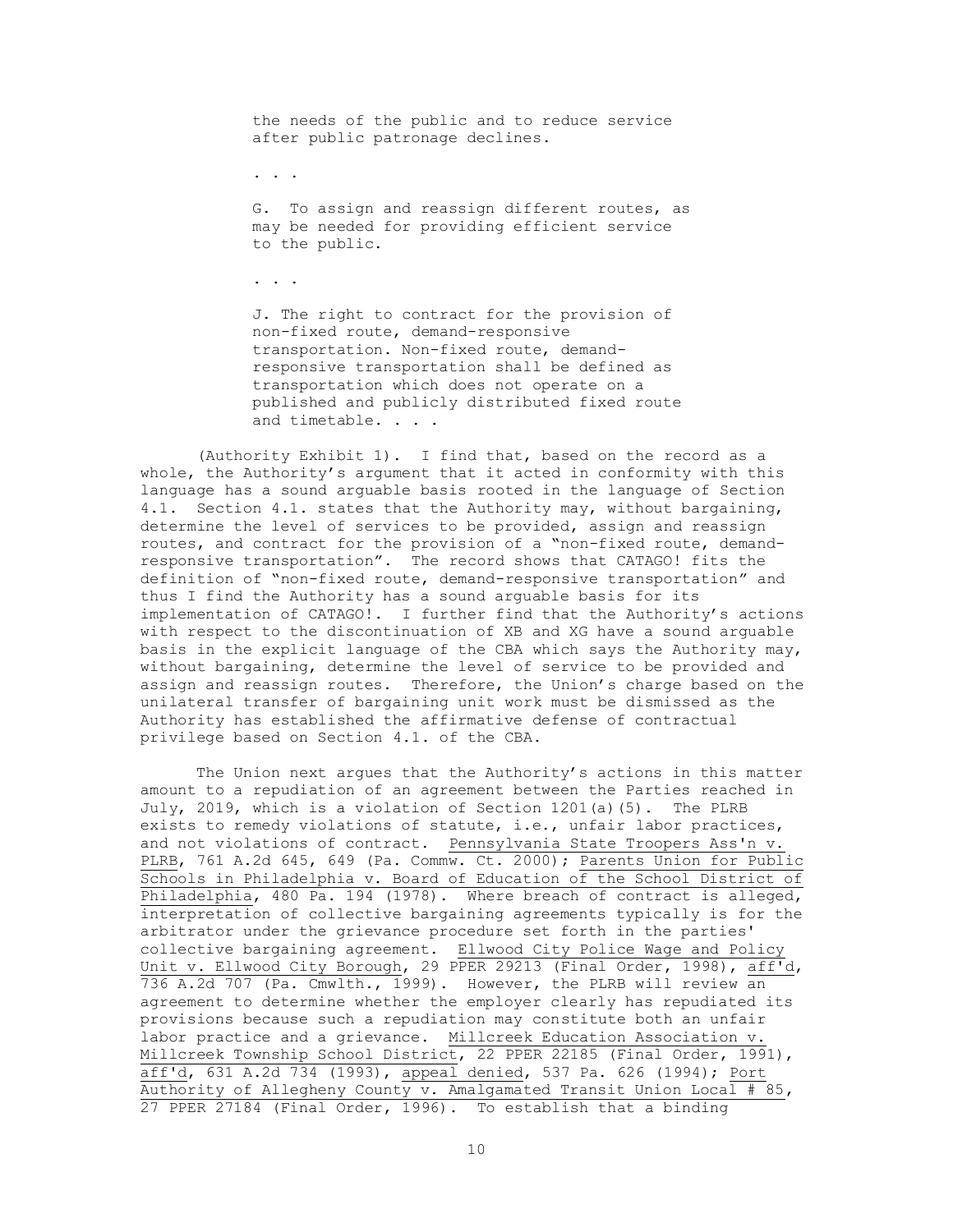the needs of the public and to reduce service after public patronage declines.

. . .

G. To assign and reassign different routes, as may be needed for providing efficient service to the public.

. . .

J. The right to contract for the provision of non-fixed route, demand-responsive transportation. Non-fixed route, demandresponsive transportation shall be defined as transportation which does not operate on a published and publicly distributed fixed route and timetable. . . .

(Authority Exhibit 1). I find that, based on the record as a whole, the Authority's argument that it acted in conformity with this language has a sound arguable basis rooted in the language of Section 4.1. Section 4.1. states that the Authority may, without bargaining, determine the level of services to be provided, assign and reassign routes, and contract for the provision of a "non-fixed route, demandresponsive transportation". The record shows that CATAGO! fits the definition of "non-fixed route, demand-responsive transportation" and thus I find the Authority has a sound arguable basis for its implementation of CATAGO!. I further find that the Authority's actions with respect to the discontinuation of XB and XG have a sound arguable basis in the explicit language of the CBA which says the Authority may, without bargaining, determine the level of service to be provided and assign and reassign routes. Therefore, the Union's charge based on the unilateral transfer of bargaining unit work must be dismissed as the Authority has established the affirmative defense of contractual privilege based on Section 4.1. of the CBA.

The Union next argues that the Authority's actions in this matter amount to a repudiation of an agreement between the Parties reached in July, 2019, which is a violation of Section 1201(a)(5). The PLRB exists to remedy violations of statute, i.e., unfair labor practices, and not violations of contract. Pennsylvania State Troopers Ass'n v. PLRB, 761 A.2d 645, 649 (Pa. Commw. Ct. 2000); Parents Union for Public Schools in Philadelphia v. Board of Education of the School District of Philadelphia, 480 Pa. 194 (1978). Where breach of contract is alleged, interpretation of collective bargaining agreements typically is for the arbitrator under the grievance procedure set forth in the parties' collective bargaining agreement. Ellwood City Police Wage and Policy Unit v. Ellwood City Borough, 29 PPER 29213 (Final Order, 1998), aff'd, 736 A.2d 707 (Pa. Cmwlth., 1999). However, the PLRB will review an agreement to determine whether the employer clearly has repudiated its provisions because such a repudiation may constitute both an unfair labor practice and a grievance. Millcreek Education Association v. Millcreek Township School District, 22 PPER 22185 (Final Order, 1991), aff'd, 631 A.2d 734 (1993), appeal denied, 537 Pa. 626 (1994); Port Authority of Allegheny County v. Amalgamated Transit Union Local  $# 85$ , 27 PPER 27184 (Final Order, 1996). To establish that a binding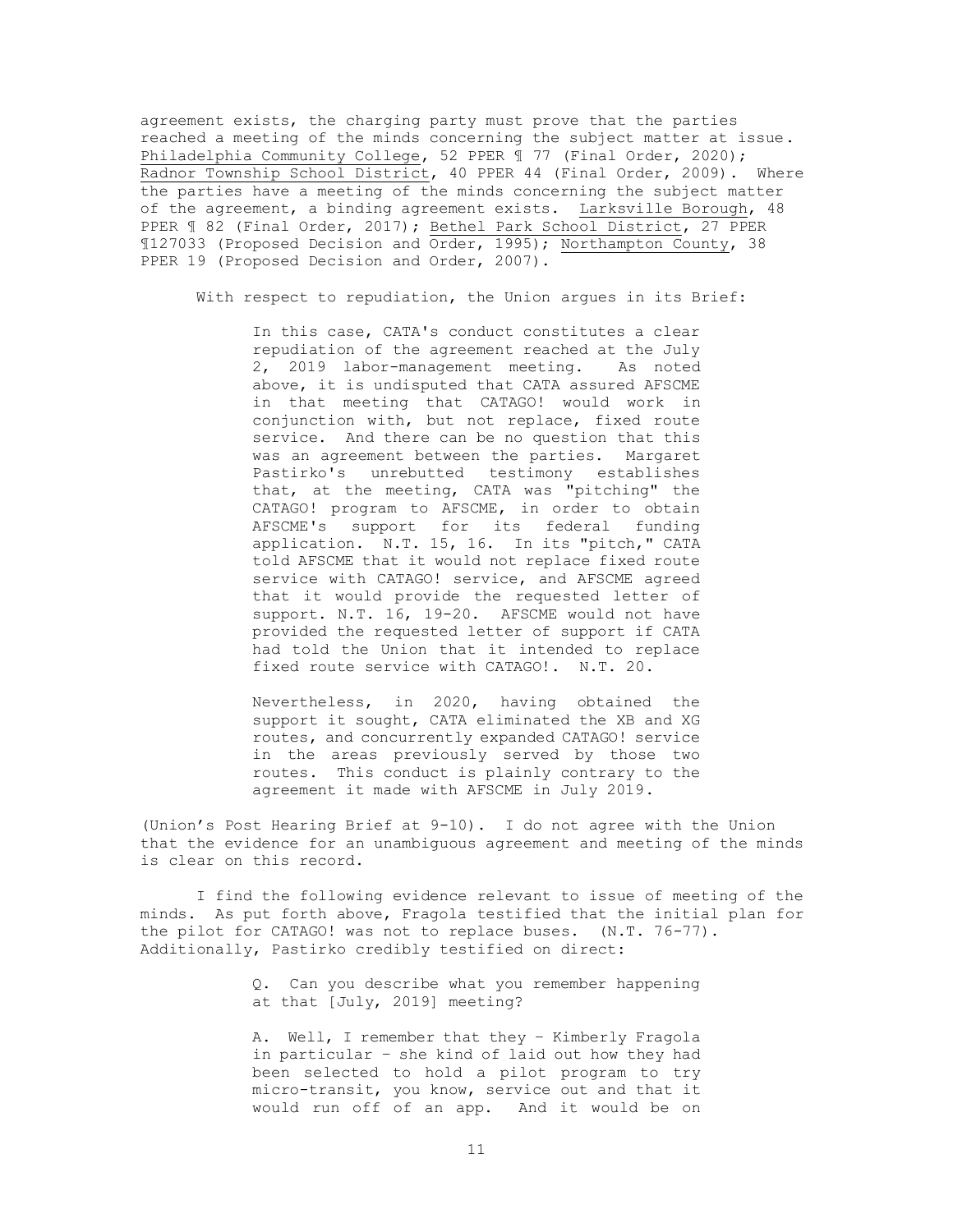agreement exists, the charging party must prove that the parties reached a meeting of the minds concerning the subject matter at issue. Philadelphia Community College, 52 PPER 1 77 (Final Order, 2020); Radnor Township School District, 40 PPER 44 (Final Order, 2009). Where the parties have a meeting of the minds concerning the subject matter of the agreement, a binding agreement exists. Larksville Borough, 48 PPER ¶ 82 (Final Order, 2017); Bethel Park School District, 27 PPER ¶127033 (Proposed Decision and Order, 1995); Northampton County, 38 PPER 19 (Proposed Decision and Order, 2007).

With respect to repudiation, the Union argues in its Brief:

In this case, CATA's conduct constitutes a clear repudiation of the agreement reached at the July 2, 2019 labor-management meeting. As noted above, it is undisputed that CATA assured AFSCME in that meeting that CATAGO! would work in conjunction with, but not replace, fixed route service. And there can be no question that this was an agreement between the parties. Margaret Pastirko's unrebutted testimony establishes that, at the meeting, CATA was "pitching" the CATAGO! program to AFSCME, in order to obtain AFSCME's support for its federal funding application. N.T. 15, 16. In its "pitch," CATA told AFSCME that it would not replace fixed route service with CATAGO! service, and AFSCME agreed that it would provide the requested letter of support. N.T. 16, 19-20. AFSCME would not have provided the requested letter of support if CATA had told the Union that it intended to replace fixed route service with CATAGO!. N.T. 20.

Nevertheless, in 2020, having obtained the support it sought, CATA eliminated the XB and XG routes, and concurrently expanded CATAGO! service in the areas previously served by those two routes. This conduct is plainly contrary to the agreement it made with AFSCME in July 2019.

(Union's Post Hearing Brief at 9-10). I do not agree with the Union that the evidence for an unambiguous agreement and meeting of the minds is clear on this record.

I find the following evidence relevant to issue of meeting of the minds. As put forth above, Fragola testified that the initial plan for the pilot for CATAGO! was not to replace buses. (N.T. 76-77). Additionally, Pastirko credibly testified on direct:

> Q. Can you describe what you remember happening at that [July, 2019] meeting?

> A. Well, I remember that they – Kimberly Fragola in particular – she kind of laid out how they had been selected to hold a pilot program to try micro-transit, you know, service out and that it would run off of an app. And it would be on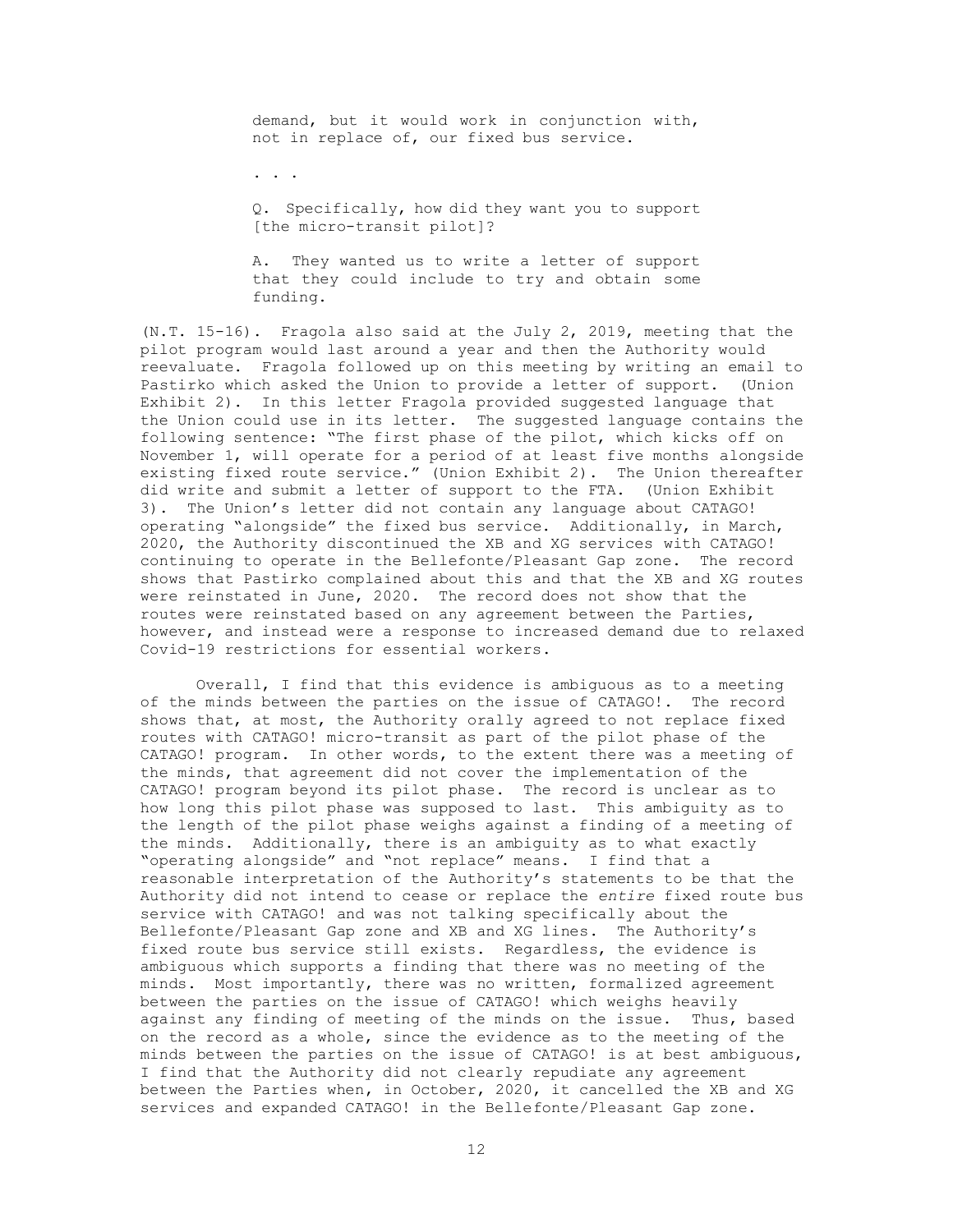demand, but it would work in conjunction with, not in replace of, our fixed bus service.

. . .

Q. Specifically, how did they want you to support [the micro-transit pilot]?

A. They wanted us to write a letter of support that they could include to try and obtain some funding.

(N.T. 15-16). Fragola also said at the July 2, 2019, meeting that the pilot program would last around a year and then the Authority would reevaluate. Fragola followed up on this meeting by writing an email to Pastirko which asked the Union to provide a letter of support. (Union Exhibit 2). In this letter Fragola provided suggested language that the Union could use in its letter. The suggested language contains the following sentence: "The first phase of the pilot, which kicks off on November 1, will operate for a period of at least five months alongside existing fixed route service." (Union Exhibit 2). The Union thereafter did write and submit a letter of support to the FTA. (Union Exhibit 3). The Union's letter did not contain any language about CATAGO! operating "alongside" the fixed bus service. Additionally, in March, 2020, the Authority discontinued the XB and XG services with CATAGO! continuing to operate in the Bellefonte/Pleasant Gap zone. The record shows that Pastirko complained about this and that the XB and XG routes were reinstated in June, 2020. The record does not show that the routes were reinstated based on any agreement between the Parties, however, and instead were a response to increased demand due to relaxed Covid-19 restrictions for essential workers.

Overall, I find that this evidence is ambiguous as to a meeting of the minds between the parties on the issue of CATAGO!. The record shows that, at most, the Authority orally agreed to not replace fixed routes with CATAGO! micro-transit as part of the pilot phase of the CATAGO! program. In other words, to the extent there was a meeting of the minds, that agreement did not cover the implementation of the CATAGO! program beyond its pilot phase. The record is unclear as to how long this pilot phase was supposed to last. This ambiguity as to the length of the pilot phase weighs against a finding of a meeting of the minds. Additionally, there is an ambiguity as to what exactly "operating alongside" and "not replace" means. I find that a reasonable interpretation of the Authority's statements to be that the Authority did not intend to cease or replace the *entire* fixed route bus service with CATAGO! and was not talking specifically about the Bellefonte/Pleasant Gap zone and XB and XG lines. The Authority's fixed route bus service still exists. Regardless, the evidence is ambiguous which supports a finding that there was no meeting of the minds. Most importantly, there was no written, formalized agreement between the parties on the issue of CATAGO! which weighs heavily against any finding of meeting of the minds on the issue. Thus, based on the record as a whole, since the evidence as to the meeting of the minds between the parties on the issue of CATAGO! is at best ambiguous, I find that the Authority did not clearly repudiate any agreement between the Parties when, in October, 2020, it cancelled the XB and XG services and expanded CATAGO! in the Bellefonte/Pleasant Gap zone.